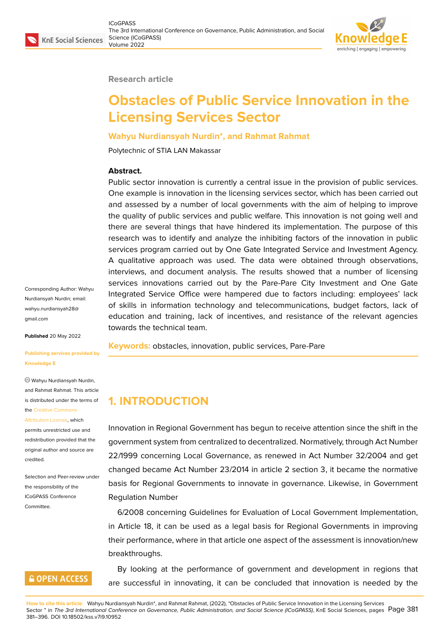#### **Research article**

# **Obstacles of Public Service Innovation in the Licensing Services Sector**

#### **Wahyu Nurdiansyah Nurdin\*, and Rahmat Rahmat**

Polytechnic of STIA LAN Makassar

#### **Abstract.**

Public sector innovation is currently a central issue in the provision of public services. One example is innovation in the licensing services sector, which has been carried out and assessed by a number of local governments with the aim of helping to improve the quality of public services and public welfare. This innovation is not going well and there are several things that have hindered its implementation. The purpose of this research was to identify and analyze the inhibiting factors of the innovation in public services program carried out by One Gate Integrated Service and Investment Agency. A qualitative approach was used. The data were obtained through observations, interviews, and document analysis. The results showed that a number of licensing services innovations carried out by the Pare-Pare City Investment and One Gate Integrated Service Office were hampered due to factors including: employees' lack of skills in information technology and telecommunications, budget factors, lack of education and training, lack of incentives, and resistance of the relevant agencies towards the technical team.

**Keywords:** obstacles, innovation, public services, Pare-Pare

#### **Knowledge E**

**Published** 20 May 2022

gmail.com

Wahyu Nurdiansyah Nurdin, and Rahmat Rahmat. This article is distributed under the terms of the Creative Commons

**[Publishing](mailto:wahyu.nurdiansyah28@gmail.com) services provided by**

Corresponding Author: Wahyu Nurdiansyah Nurdin; email: wahyu.nurdiansyah28@

#### Attribution License, which

permits unrestricted use and redistribution provided that the orig[inal author and sou](https://creativecommons.org/licenses/by/4.0/)rce are [credited.](https://creativecommons.org/licenses/by/4.0/)

Selection and Peer-review under the responsibility of the ICoGPASS Conference Committee.

# **GOPEN ACCESS**

**1. INTRODUCTION**

Innovation in Regional Government has begun to receive attention since the shift in the government system from centralized to decentralized. Normatively, through Act Number 22/1999 concerning Local Governance, as renewed in Act Number 32/2004 and get changed became Act Number 23/2014 in article 2 section 3, it became the normative basis for Regional Governments to innovate in governance. Likewise, in Government Regulation Number

6/2008 concerning Guidelines for Evaluation of Local Government Implementation, in Article 18, it can be used as a legal basis for Regional Governments in improving their performance, where in that article one aspect of the assessment is innovation/new breakthroughs.

By looking at the performance of government and development in regions that are successful in innovating, it can be concluded that innovation is needed by the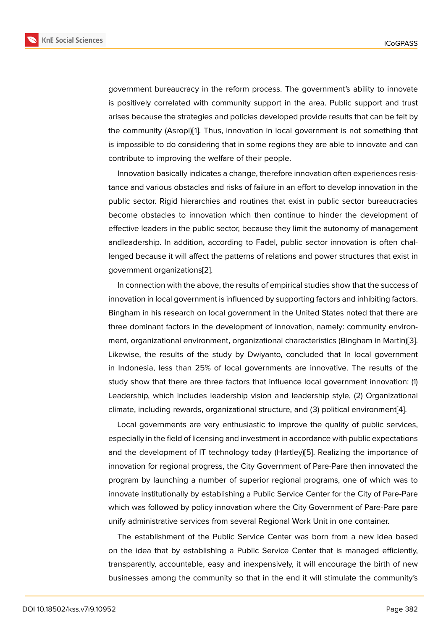government bureaucracy in the reform process. The government's ability to innovate is positively correlated with community support in the area. Public support and trust arises because the strategies and policies developed provide results that can be felt by the community (Asropi)[1]. Thus, innovation in local government is not something that is impossible to do considering that in some regions they are able to innovate and can contribute to improving the welfare of their people.

Innovation basically i[nd](#page-14-0)icates a change, therefore innovation often experiences resistance and various obstacles and risks of failure in an effort to develop innovation in the public sector. Rigid hierarchies and routines that exist in public sector bureaucracies become obstacles to innovation which then continue to hinder the development of effective leaders in the public sector, because they limit the autonomy of management andleadership. In addition, according to Fadel, public sector innovation is often challenged because it will affect the patterns of relations and power structures that exist in government organizations[2].

In connection with the above, the results of empirical studies show that the success of innovation in local government is influenced by supporting factors and inhibiting factors. Bingham in his research o[n l](#page-14-1)ocal government in the United States noted that there are three dominant factors in the development of innovation, namely: community environment, organizational environment, organizational characteristics (Bingham in Martin)[3]. Likewise, the results of the study by Dwiyanto, concluded that In local government in Indonesia, less than 25% of local governments are innovative. The results of the study show that there are three factors that influence local government innovation: [\(1](#page-14-2)) Leadership, which includes leadership vision and leadership style, (2) Organizational climate, including rewards, organizational structure, and (3) political environment[4].

Local governments are very enthusiastic to improve the quality of public services, especially in the field of licensing and investment in accordance with public expectations and the development of IT technology today (Hartley)[5]. Realizing the importa[nc](#page-15-0)e of innovation for regional progress, the City Government of Pare-Pare then innovated the program by launching a number of superior regional programs, one of which was to innovate institutionally by establishing a Public Service [Ce](#page-15-1)nter for the City of Pare-Pare which was followed by policy innovation where the City Government of Pare-Pare pare unify administrative services from several Regional Work Unit in one container.

The establishment of the Public Service Center was born from a new idea based on the idea that by establishing a Public Service Center that is managed efficiently, transparently, accountable, easy and inexpensively, it will encourage the birth of new businesses among the community so that in the end it will stimulate the community's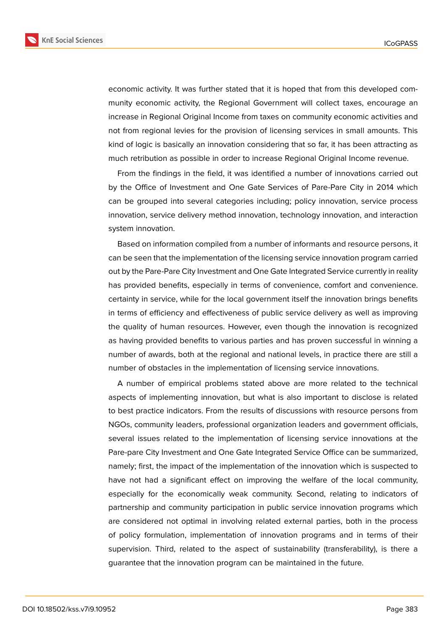**KnE Social Sciences** 



economic activity. It was further stated that it is hoped that from this developed community economic activity, the Regional Government will collect taxes, encourage an increase in Regional Original Income from taxes on community economic activities and

not from regional levies for the provision of licensing services in small amounts. This kind of logic is basically an innovation considering that so far, it has been attracting as much retribution as possible in order to increase Regional Original Income revenue.

From the findings in the field, it was identified a number of innovations carried out by the Office of Investment and One Gate Services of Pare-Pare City in 2014 which can be grouped into several categories including; policy innovation, service process innovation, service delivery method innovation, technology innovation, and interaction system innovation.

Based on information compiled from a number of informants and resource persons, it can be seen that the implementation of the licensing service innovation program carried out by the Pare-Pare City Investment and One Gate Integrated Service currently in reality has provided benefits, especially in terms of convenience, comfort and convenience. certainty in service, while for the local government itself the innovation brings benefits in terms of efficiency and effectiveness of public service delivery as well as improving the quality of human resources. However, even though the innovation is recognized as having provided benefits to various parties and has proven successful in winning a number of awards, both at the regional and national levels, in practice there are still a number of obstacles in the implementation of licensing service innovations.

A number of empirical problems stated above are more related to the technical aspects of implementing innovation, but what is also important to disclose is related to best practice indicators. From the results of discussions with resource persons from NGOs, community leaders, professional organization leaders and government officials, several issues related to the implementation of licensing service innovations at the Pare-pare City Investment and One Gate Integrated Service Office can be summarized, namely; first, the impact of the implementation of the innovation which is suspected to have not had a significant effect on improving the welfare of the local community, especially for the economically weak community. Second, relating to indicators of partnership and community participation in public service innovation programs which are considered not optimal in involving related external parties, both in the process of policy formulation, implementation of innovation programs and in terms of their supervision. Third, related to the aspect of sustainability (transferability), is there a guarantee that the innovation program can be maintained in the future.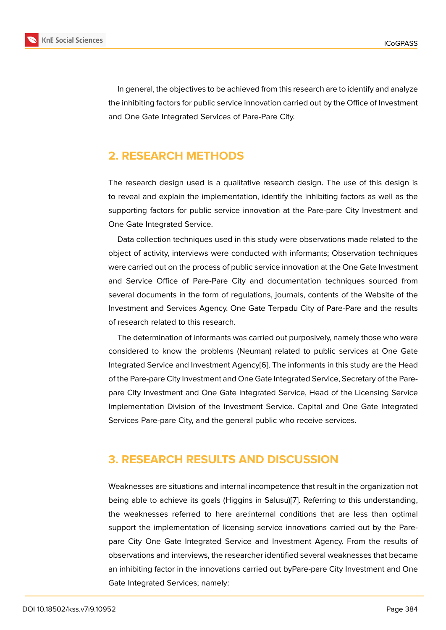In general, the objectives to be achieved from this research are to identify and analyze the inhibiting factors for public service innovation carried out by the Office of Investment and One Gate Integrated Services of Pare-Pare City.

# **2. RESEARCH METHODS**

The research design used is a qualitative research design. The use of this design is to reveal and explain the implementation, identify the inhibiting factors as well as the supporting factors for public service innovation at the Pare-pare City Investment and One Gate Integrated Service.

Data collection techniques used in this study were observations made related to the object of activity, interviews were conducted with informants; Observation techniques were carried out on the process of public service innovation at the One Gate Investment and Service Office of Pare-Pare City and documentation techniques sourced from several documents in the form of regulations, journals, contents of the Website of the Investment and Services Agency. One Gate Terpadu City of Pare-Pare and the results of research related to this research.

The determination of informants was carried out purposively, namely those who were considered to know the problems (Neuman) related to public services at One Gate Integrated Service and Investment Agency[6]. The informants in this study are the Head of the Pare-pare City Investment and One Gate Integrated Service, Secretary of the Parepare City Investment and One Gate Integrated Service, Head of the Licensing Service Implementation Division of the Investmen[t S](#page-15-2)ervice. Capital and One Gate Integrated Services Pare-pare City, and the general public who receive services.

# **3. RESEARCH RESULTS AND DISCUSSION**

Weaknesses are situations and internal incompetence that result in the organization not being able to achieve its goals (Higgins in Salusu)[7]. Referring to this understanding, the weaknesses referred to here are:internal conditions that are less than optimal support the implementation of licensing service innovations carried out by the Parepare City One Gate Integrated Service and Inves[tm](#page-15-3)ent Agency. From the results of observations and interviews, the researcher identified several weaknesses that became an inhibiting factor in the innovations carried out byPare-pare City Investment and One Gate Integrated Services; namely: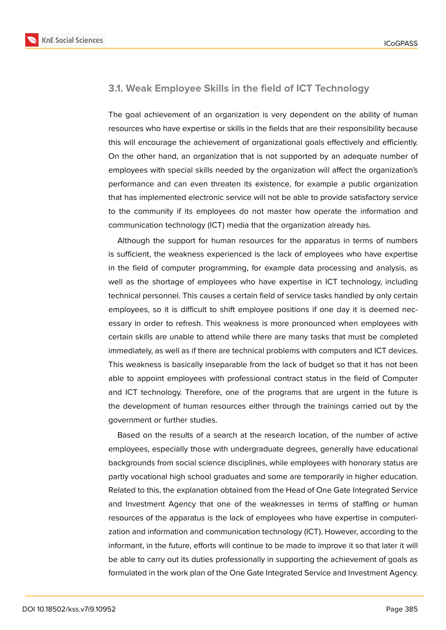

### **3.1. Weak Employee Skills in the field of ICT Technology**

The goal achievement of an organization is very dependent on the ability of human resources who have expertise or skills in the fields that are their responsibility because this will encourage the achievement of organizational goals effectively and efficiently. On the other hand, an organization that is not supported by an adequate number of employees with special skills needed by the organization will affect the organization's performance and can even threaten its existence, for example a public organization that has implemented electronic service will not be able to provide satisfactory service to the community if its employees do not master how operate the information and communication technology (ICT) media that the organization already has.

Although the support for human resources for the apparatus in terms of numbers is sufficient, the weakness experienced is the lack of employees who have expertise in the field of computer programming, for example data processing and analysis, as well as the shortage of employees who have expertise in ICT technology, including technical personnel. This causes a certain field of service tasks handled by only certain employees, so it is difficult to shift employee positions if one day it is deemed necessary in order to refresh. This weakness is more pronounced when employees with certain skills are unable to attend while there are many tasks that must be completed immediately, as well as if there are technical problems with computers and ICT devices. This weakness is basically inseparable from the lack of budget so that it has not been able to appoint employees with professional contract status in the field of Computer and ICT technology. Therefore, one of the programs that are urgent in the future is the development of human resources either through the trainings carried out by the government or further studies.

Based on the results of a search at the research location, of the number of active employees, especially those with undergraduate degrees, generally have educational backgrounds from social science disciplines, while employees with honorary status are partly vocational high school graduates and some are temporarily in higher education. Related to this, the explanation obtained from the Head of One Gate Integrated Service and Investment Agency that one of the weaknesses in terms of staffing or human resources of the apparatus is the lack of employees who have expertise in computerization and information and communication technology (ICT). However, according to the informant, in the future, efforts will continue to be made to improve it so that later it will be able to carry out its duties professionally in supporting the achievement of goals as formulated in the work plan of the One Gate Integrated Service and Investment Agency.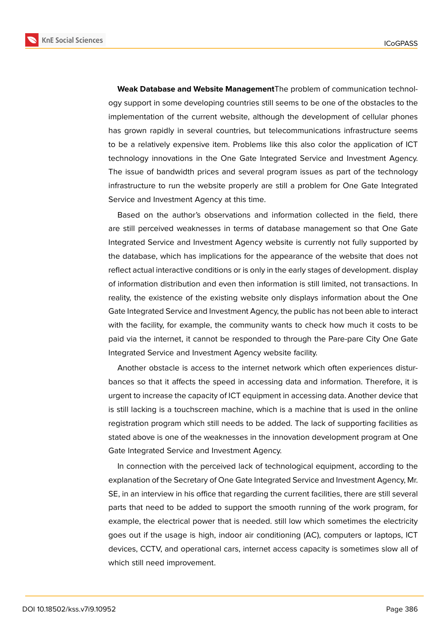**KnE Social Sciences** 



**Weak Database and Website Management**The problem of communication technology support in some developing countries still seems to be one of the obstacles to the implementation of the current website, although the development of cellular phones has grown rapidly in several countries, but telecommunications infrastructure seems to be a relatively expensive item. Problems like this also color the application of ICT technology innovations in the One Gate Integrated Service and Investment Agency. The issue of bandwidth prices and several program issues as part of the technology infrastructure to run the website properly are still a problem for One Gate Integrated Service and Investment Agency at this time.

Based on the author's observations and information collected in the field, there are still perceived weaknesses in terms of database management so that One Gate Integrated Service and Investment Agency website is currently not fully supported by the database, which has implications for the appearance of the website that does not reflect actual interactive conditions or is only in the early stages of development. display of information distribution and even then information is still limited, not transactions. In reality, the existence of the existing website only displays information about the One Gate Integrated Service and Investment Agency, the public has not been able to interact with the facility, for example, the community wants to check how much it costs to be paid via the internet, it cannot be responded to through the Pare-pare City One Gate Integrated Service and Investment Agency website facility.

Another obstacle is access to the internet network which often experiences disturbances so that it affects the speed in accessing data and information. Therefore, it is urgent to increase the capacity of ICT equipment in accessing data. Another device that is still lacking is a touchscreen machine, which is a machine that is used in the online registration program which still needs to be added. The lack of supporting facilities as stated above is one of the weaknesses in the innovation development program at One Gate Integrated Service and Investment Agency.

In connection with the perceived lack of technological equipment, according to the explanation of the Secretary of One Gate Integrated Service and Investment Agency, Mr. SE, in an interview in his office that regarding the current facilities, there are still several parts that need to be added to support the smooth running of the work program, for example, the electrical power that is needed. still low which sometimes the electricity goes out if the usage is high, indoor air conditioning (AC), computers or laptops, ICT devices, CCTV, and operational cars, internet access capacity is sometimes slow all of which still need improvement.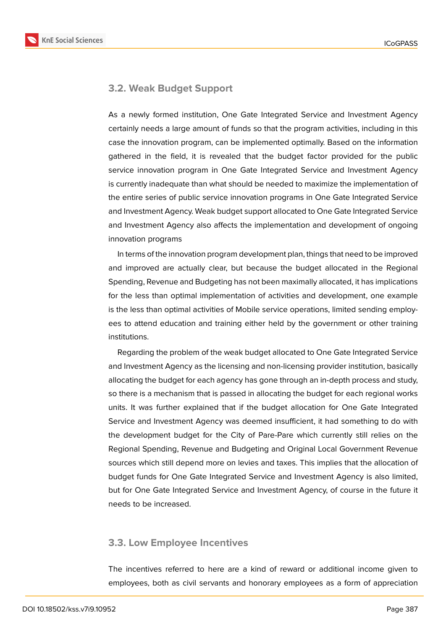

#### **3.2. Weak Budget Support**

As a newly formed institution, One Gate Integrated Service and Investment Agency certainly needs a large amount of funds so that the program activities, including in this case the innovation program, can be implemented optimally. Based on the information gathered in the field, it is revealed that the budget factor provided for the public service innovation program in One Gate Integrated Service and Investment Agency is currently inadequate than what should be needed to maximize the implementation of the entire series of public service innovation programs in One Gate Integrated Service and Investment Agency. Weak budget support allocated to One Gate Integrated Service and Investment Agency also affects the implementation and development of ongoing innovation programs

In terms of the innovation program development plan, things that need to be improved and improved are actually clear, but because the budget allocated in the Regional Spending, Revenue and Budgeting has not been maximally allocated, it has implications for the less than optimal implementation of activities and development, one example is the less than optimal activities of Mobile service operations, limited sending employees to attend education and training either held by the government or other training institutions.

Regarding the problem of the weak budget allocated to One Gate Integrated Service and Investment Agency as the licensing and non-licensing provider institution, basically allocating the budget for each agency has gone through an in-depth process and study, so there is a mechanism that is passed in allocating the budget for each regional works units. It was further explained that if the budget allocation for One Gate Integrated Service and Investment Agency was deemed insufficient, it had something to do with the development budget for the City of Pare-Pare which currently still relies on the Regional Spending, Revenue and Budgeting and Original Local Government Revenue sources which still depend more on levies and taxes. This implies that the allocation of budget funds for One Gate Integrated Service and Investment Agency is also limited, but for One Gate Integrated Service and Investment Agency, of course in the future it needs to be increased.

#### **3.3. Low Employee Incentives**

The incentives referred to here are a kind of reward or additional income given to employees, both as civil servants and honorary employees as a form of appreciation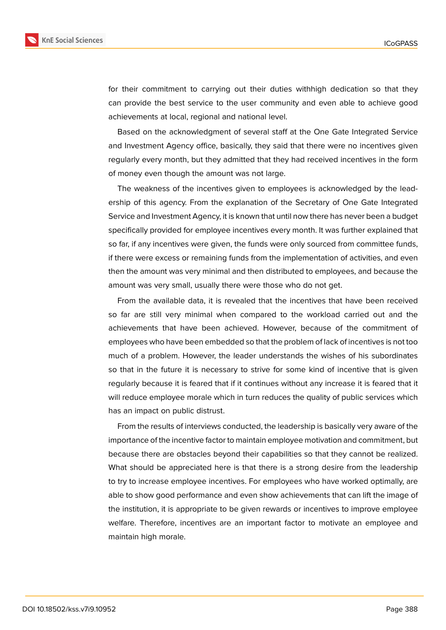

for their commitment to carrying out their duties withhigh dedication so that they can provide the best service to the user community and even able to achieve good achievements at local, regional and national level.

Based on the acknowledgment of several staff at the One Gate Integrated Service and Investment Agency office, basically, they said that there were no incentives given regularly every month, but they admitted that they had received incentives in the form of money even though the amount was not large.

The weakness of the incentives given to employees is acknowledged by the leadership of this agency. From the explanation of the Secretary of One Gate Integrated Service and Investment Agency, it is known that until now there has never been a budget specifically provided for employee incentives every month. It was further explained that so far, if any incentives were given, the funds were only sourced from committee funds, if there were excess or remaining funds from the implementation of activities, and even then the amount was very minimal and then distributed to employees, and because the amount was very small, usually there were those who do not get.

From the available data, it is revealed that the incentives that have been received so far are still very minimal when compared to the workload carried out and the achievements that have been achieved. However, because of the commitment of employees who have been embedded so that the problem of lack of incentives is not too much of a problem. However, the leader understands the wishes of his subordinates so that in the future it is necessary to strive for some kind of incentive that is given regularly because it is feared that if it continues without any increase it is feared that it will reduce employee morale which in turn reduces the quality of public services which has an impact on public distrust.

From the results of interviews conducted, the leadership is basically very aware of the importance of the incentive factor to maintain employee motivation and commitment, but because there are obstacles beyond their capabilities so that they cannot be realized. What should be appreciated here is that there is a strong desire from the leadership to try to increase employee incentives. For employees who have worked optimally, are able to show good performance and even show achievements that can lift the image of the institution, it is appropriate to be given rewards or incentives to improve employee welfare. Therefore, incentives are an important factor to motivate an employee and maintain high morale.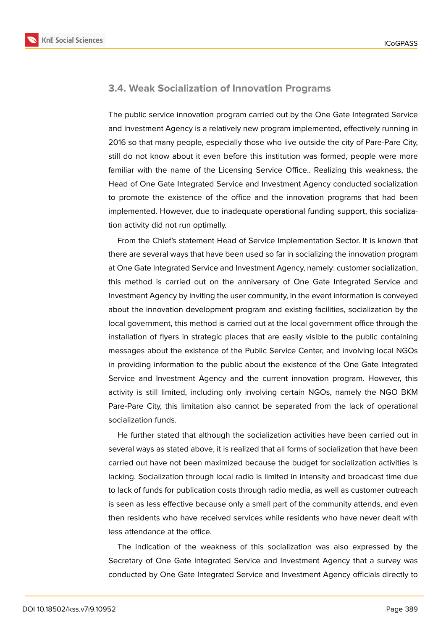

#### **3.4. Weak Socialization of Innovation Programs**

The public service innovation program carried out by the One Gate Integrated Service and Investment Agency is a relatively new program implemented, effectively running in 2016 so that many people, especially those who live outside the city of Pare-Pare City, still do not know about it even before this institution was formed, people were more familiar with the name of the Licensing Service Office.. Realizing this weakness, the Head of One Gate Integrated Service and Investment Agency conducted socialization to promote the existence of the office and the innovation programs that had been implemented. However, due to inadequate operational funding support, this socialization activity did not run optimally.

From the Chief's statement Head of Service Implementation Sector. It is known that there are several ways that have been used so far in socializing the innovation program at One Gate Integrated Service and Investment Agency, namely: customer socialization, this method is carried out on the anniversary of One Gate Integrated Service and Investment Agency by inviting the user community, in the event information is conveyed about the innovation development program and existing facilities, socialization by the local government, this method is carried out at the local government office through the installation of flyers in strategic places that are easily visible to the public containing messages about the existence of the Public Service Center, and involving local NGOs in providing information to the public about the existence of the One Gate Integrated Service and Investment Agency and the current innovation program. However, this activity is still limited, including only involving certain NGOs, namely the NGO BKM Pare-Pare City, this limitation also cannot be separated from the lack of operational socialization funds.

He further stated that although the socialization activities have been carried out in several ways as stated above, it is realized that all forms of socialization that have been carried out have not been maximized because the budget for socialization activities is lacking. Socialization through local radio is limited in intensity and broadcast time due to lack of funds for publication costs through radio media, as well as customer outreach is seen as less effective because only a small part of the community attends, and even then residents who have received services while residents who have never dealt with less attendance at the office.

The indication of the weakness of this socialization was also expressed by the Secretary of One Gate Integrated Service and Investment Agency that a survey was conducted by One Gate Integrated Service and Investment Agency officials directly to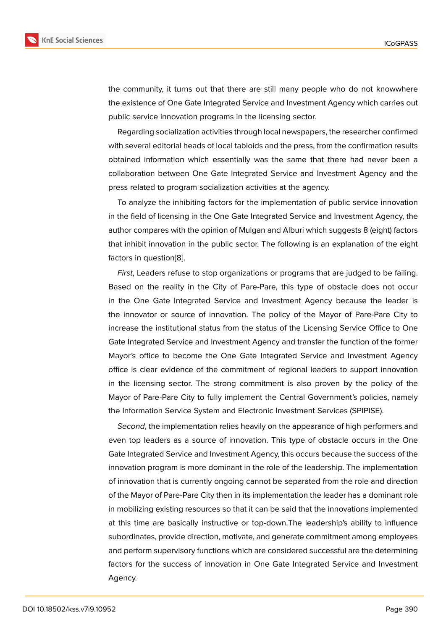the community, it turns out that there are still many people who do not knowwhere the existence of One Gate Integrated Service and Investment Agency which carries out public service innovation programs in the licensing sector.

Regarding socialization activities through local newspapers, the researcher confirmed with several editorial heads of local tabloids and the press, from the confirmation results obtained information which essentially was the same that there had never been a collaboration between One Gate Integrated Service and Investment Agency and the press related to program socialization activities at the agency.

To analyze the inhibiting factors for the implementation of public service innovation in the field of licensing in the One Gate Integrated Service and Investment Agency, the author compares with the opinion of Mulgan and Alburi which suggests 8 (eight) factors that inhibit innovation in the public sector. The following is an explanation of the eight factors in question[8].

*First*, Leaders refuse to stop organizations or programs that are judged to be failing. Based on the reality in the City of Pare-Pare, this type of obstacle does not occur in the One Gate I[nt](#page-15-4)egrated Service and Investment Agency because the leader is the innovator or source of innovation. The policy of the Mayor of Pare-Pare City to increase the institutional status from the status of the Licensing Service Office to One Gate Integrated Service and Investment Agency and transfer the function of the former Mayor's office to become the One Gate Integrated Service and Investment Agency office is clear evidence of the commitment of regional leaders to support innovation in the licensing sector. The strong commitment is also proven by the policy of the Mayor of Pare-Pare City to fully implement the Central Government's policies, namely the Information Service System and Electronic Investment Services (SPIPISE).

*Second*, the implementation relies heavily on the appearance of high performers and even top leaders as a source of innovation. This type of obstacle occurs in the One Gate Integrated Service and Investment Agency, this occurs because the success of the innovation program is more dominant in the role of the leadership. The implementation of innovation that is currently ongoing cannot be separated from the role and direction of the Mayor of Pare-Pare City then in its implementation the leader has a dominant role in mobilizing existing resources so that it can be said that the innovations implemented at this time are basically instructive or top-down.The leadership's ability to influence subordinates, provide direction, motivate, and generate commitment among employees and perform supervisory functions which are considered successful are the determining factors for the success of innovation in One Gate Integrated Service and Investment Agency.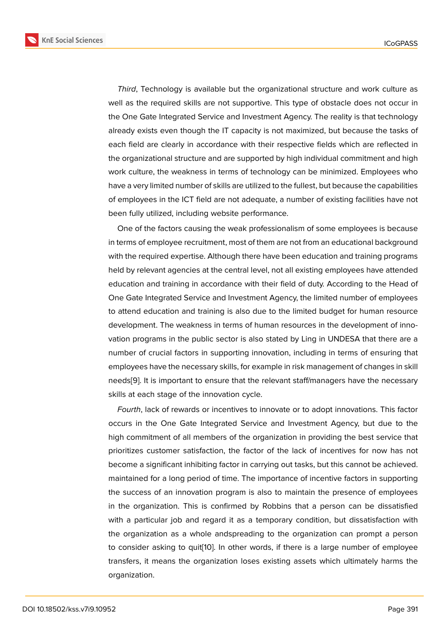*Third*, Technology is available but the organizational structure and work culture as well as the required skills are not supportive. This type of obstacle does not occur in the One Gate Integrated Service and Investment Agency. The reality is that technology already exists even though the IT capacity is not maximized, but because the tasks of each field are clearly in accordance with their respective fields which are reflected in the organizational structure and are supported by high individual commitment and high work culture, the weakness in terms of technology can be minimized. Employees who have a very limited number of skills are utilized to the fullest, but because the capabilities of employees in the ICT field are not adequate, a number of existing facilities have not been fully utilized, including website performance.

One of the factors causing the weak professionalism of some employees is because in terms of employee recruitment, most of them are not from an educational background with the required expertise. Although there have been education and training programs held by relevant agencies at the central level, not all existing employees have attended education and training in accordance with their field of duty. According to the Head of One Gate Integrated Service and Investment Agency, the limited number of employees to attend education and training is also due to the limited budget for human resource development. The weakness in terms of human resources in the development of innovation programs in the public sector is also stated by Ling in UNDESA that there are a number of crucial factors in supporting innovation, including in terms of ensuring that employees have the necessary skills, for example in risk management of changes in skill needs[9]. It is important to ensure that the relevant staff/managers have the necessary skills at each stage of the innovation cycle.

*Fourth*, lack of rewards or incentives to innovate or to adopt innovations. This factor occurs [in](#page-15-5) the One Gate Integrated Service and Investment Agency, but due to the high commitment of all members of the organization in providing the best service that prioritizes customer satisfaction, the factor of the lack of incentives for now has not become a significant inhibiting factor in carrying out tasks, but this cannot be achieved. maintained for a long period of time. The importance of incentive factors in supporting the success of an innovation program is also to maintain the presence of employees in the organization. This is confirmed by Robbins that a person can be dissatisfied with a particular job and regard it as a temporary condition, but dissatisfaction with the organization as a whole andspreading to the organization can prompt a person to consider asking to quit[10]. In other words, if there is a large number of employee transfers, it means the organization loses existing assets which ultimately harms the organization.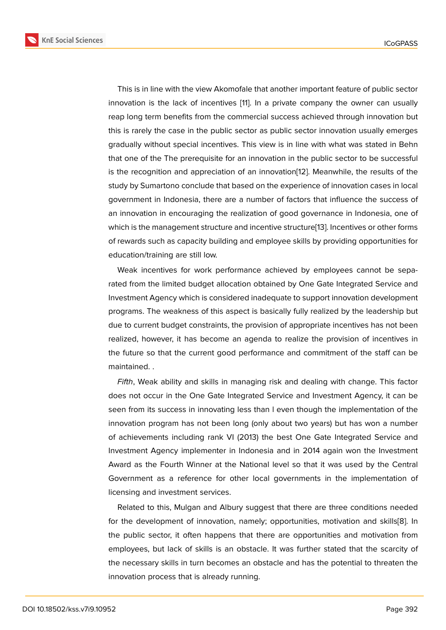This is in line with the view Akomofale that another important feature of public sector innovation is the lack of incentives [11]. In a private company the owner can usually reap long term benefits from the commercial success achieved through innovation but this is rarely the case in the public sector as public sector innovation usually emerges gradually without special incentives. [Th](#page-15-6)is view is in line with what was stated in Behn that one of the The prerequisite for an innovation in the public sector to be successful is the recognition and appreciation of an innovation[12]. Meanwhile, the results of the study by Sumartono conclude that based on the experience of innovation cases in local government in Indonesia, there are a number of factors that influence the success of an innovation in encouraging the realization of good [go](#page-15-7)vernance in Indonesia, one of which is the management structure and incentive structure[13]. Incentives or other forms of rewards such as capacity building and employee skills by providing opportunities for education/training are still low.

Weak incentives for work performance achieved by [em](#page-15-8)ployees cannot be separated from the limited budget allocation obtained by One Gate Integrated Service and Investment Agency which is considered inadequate to support innovation development programs. The weakness of this aspect is basically fully realized by the leadership but due to current budget constraints, the provision of appropriate incentives has not been realized, however, it has become an agenda to realize the provision of incentives in the future so that the current good performance and commitment of the staff can be maintained. .

*Fifth*, Weak ability and skills in managing risk and dealing with change. This factor does not occur in the One Gate Integrated Service and Investment Agency, it can be seen from its success in innovating less than l even though the implementation of the innovation program has not been long (only about two years) but has won a number of achievements including rank VI (2013) the best One Gate Integrated Service and Investment Agency implementer in Indonesia and in 2014 again won the Investment Award as the Fourth Winner at the National level so that it was used by the Central Government as a reference for other local governments in the implementation of licensing and investment services.

Related to this, Mulgan and Albury suggest that there are three conditions needed for the development of innovation, namely; opportunities, motivation and skills[8]. In the public sector, it often happens that there are opportunities and motivation from employees, but lack of skills is an obstacle. It was further stated that the scarcity of the necessary skills in turn becomes an obstacle and has the potential to threate[n](#page-15-4) the innovation process that is already running.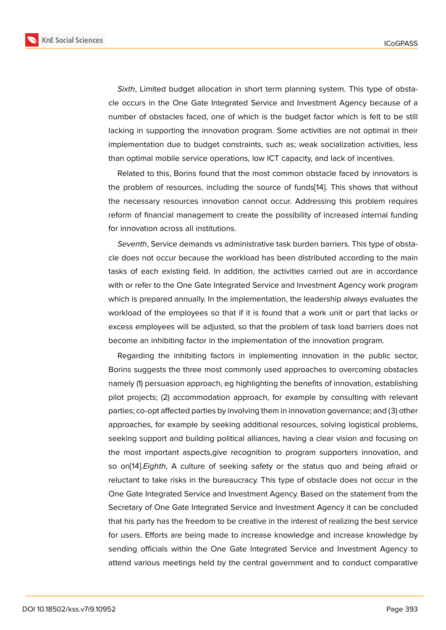*Sixth*, Limited budget allocation in short term planning system. This type of obstacle occurs in the One Gate Integrated Service and Investment Agency because of a number of obstacles faced, one of which is the budget factor which is felt to be still lacking in supporting the innovation program. Some activities are not optimal in their implementation due to budget constraints, such as; weak socialization activities, less than optimal mobile service operations, low ICT capacity, and lack of incentives.

Related to this, Borins found that the most common obstacle faced by innovators is the problem of resources, including the source of funds[14]. This shows that without the necessary resources innovation cannot occur. Addressing this problem requires reform of financial management to create the possibility of increased internal funding for innovation across all institutions.

*Seventh*, Service demands vs administrative task burden barriers. This type of obstacle does not occur because the workload has been distributed according to the main tasks of each existing field. In addition, the activities carried out are in accordance with or refer to the One Gate Integrated Service and Investment Agency work program which is prepared annually. In the implementation, the leadership always evaluates the workload of the employees so that if it is found that a work unit or part that lacks or excess employees will be adjusted, so that the problem of task load barriers does not become an inhibiting factor in the implementation of the innovation program.

Regarding the inhibiting factors in implementing innovation in the public sector, Borins suggests the three most commonly used approaches to overcoming obstacles namely (1) persuasion approach, eg highlighting the benefits of innovation, establishing pilot projects; (2) accommodation approach, for example by consulting with relevant parties; co-opt affected parties by involving them in innovation governance; and (3) other approaches, for example by seeking additional resources, solving logistical problems, seeking support and building political alliances, having a clear vision and focusing on the most important aspects,give recognition to program supporters innovation, and so on[14].*Eighth*, A culture of seeking safety or the status quo and being afraid or reluctant to take risks in the bureaucracy. This type of obstacle does not occur in the One Gate Integrated Service and Investment Agency. Based on the statement from the Secret[ary](#page-15-9) of One Gate Integrated Service and Investment Agency it can be concluded that his party has the freedom to be creative in the interest of realizing the best service for users. Efforts are being made to increase knowledge and increase knowledge by sending officials within the One Gate Integrated Service and Investment Agency to attend various meetings held by the central government and to conduct comparative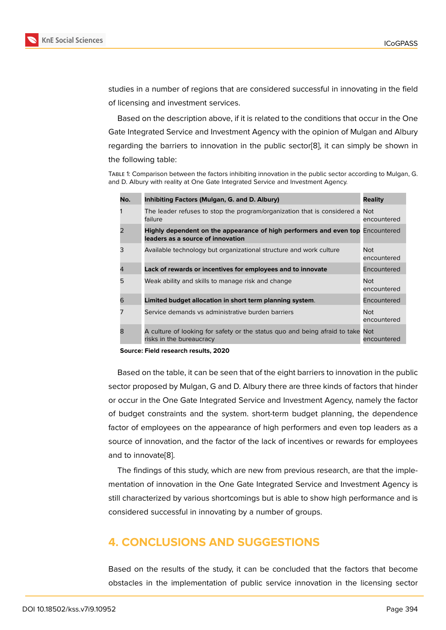studies in a number of regions that are considered successful in innovating in the field of licensing and investment services.

Based on the description above, if it is related to the conditions that occur in the One Gate Integrated Service and Investment Agency with the opinion of Mulgan and Albury regarding the barriers to innovation in the public sector[8], it can simply be shown in the following table:

Table 1: Comparison between the factors inhibiting innovation in the public sector according to Mulgan, G. and D. Albury with reality at One Gate Integrated Service and Invest[men](#page-15-4)t Agency.

| No.            | Inhibiting Factors (Mulgan, G. and D. Albury)                                                                       | <b>Reality</b>            |
|----------------|---------------------------------------------------------------------------------------------------------------------|---------------------------|
| 1              | The leader refuses to stop the program/organization that is considered a<br>failure                                 | Not<br>encountered        |
| $\overline{2}$ | Highly dependent on the appearance of high performers and even top Encountered<br>leaders as a source of innovation |                           |
| 3              | Available technology but organizational structure and work culture                                                  | Not.<br>encountered       |
| 4              | Lack of rewards or incentives for employees and to innovate                                                         | Encountered               |
| 5              | Weak ability and skills to manage risk and change                                                                   | <b>Not</b><br>encountered |
| 6              | Limited budget allocation in short term planning system.                                                            | Encountered               |
| 7              | Service demands vs administrative burden barriers                                                                   | <b>Not</b><br>encountered |
| 8              | A culture of looking for safety or the status quo and being afraid to take<br>risks in the bureaucracy              | Not<br>encountered        |

**Source: Field research results, 2020**

Based on the table, it can be seen that of the eight barriers to innovation in the public sector proposed by Mulgan, G and D. Albury there are three kinds of factors that hinder or occur in the One Gate Integrated Service and Investment Agency, namely the factor of budget constraints and the system. short-term budget planning, the dependence factor of employees on the appearance of high performers and even top leaders as a source of innovation, and the factor of the lack of incentives or rewards for employees and to innovate[8].

The findings of this study, which are new from previous research, are that the implementation of innovation in the One Gate Integrated Service and Investment Agency is still characterize[d](#page-15-4) by various shortcomings but is able to show high performance and is considered successful in innovating by a number of groups.

# **4. CONCLUSIONS AND SUGGESTIONS**

Based on the results of the study, it can be concluded that the factors that become obstacles in the implementation of public service innovation in the licensing sector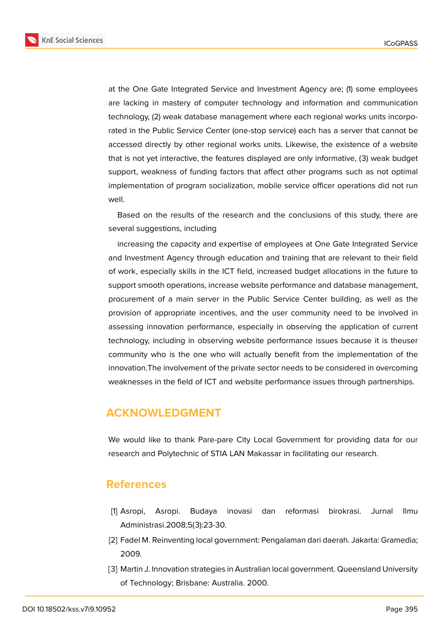**KnE Social Sciences** 



at the One Gate Integrated Service and Investment Agency are; (1) some employees are lacking in mastery of computer technology and information and communication technology, (2) weak database management where each regional works units incorporated in the Public Service Center (one-stop service) each has a server that cannot be accessed directly by other regional works units. Likewise, the existence of a website that is not yet interactive, the features displayed are only informative, (3) weak budget support, weakness of funding factors that affect other programs such as not optimal implementation of program socialization, mobile service officer operations did not run well.

Based on the results of the research and the conclusions of this study, there are several suggestions, including

increasing the capacity and expertise of employees at One Gate Integrated Service and Investment Agency through education and training that are relevant to their field of work, especially skills in the ICT field, increased budget allocations in the future to support smooth operations, increase website performance and database management, procurement of a main server in the Public Service Center building, as well as the provision of appropriate incentives, and the user community need to be involved in assessing innovation performance, especially in observing the application of current technology, including in observing website performance issues because it is theuser community who is the one who will actually benefit from the implementation of the innovation.The involvement of the private sector needs to be considered in overcoming weaknesses in the field of ICT and website performance issues through partnerships.

#### **ACKNOWLEDGMENT**

We would like to thank Pare-pare City Local Government for providing data for our research and Polytechnic of STIA LAN Makassar in facilitating our research.

#### **References**

- <span id="page-14-0"></span>[1] Asropi, Asropi. Budaya inovasi dan reformasi birokrasi. Jurnal Ilmu Administrasi.2008;5(3):23-30.
- <span id="page-14-1"></span>[2] Fadel M. Reinventing local government: Pengalaman dari daerah. Jakarta: Gramedia; 2009.
- <span id="page-14-2"></span>[3] Martin J. Innovation strategies in Australian local government. Queensland University of Technology; Brisbane: Australia. 2000.